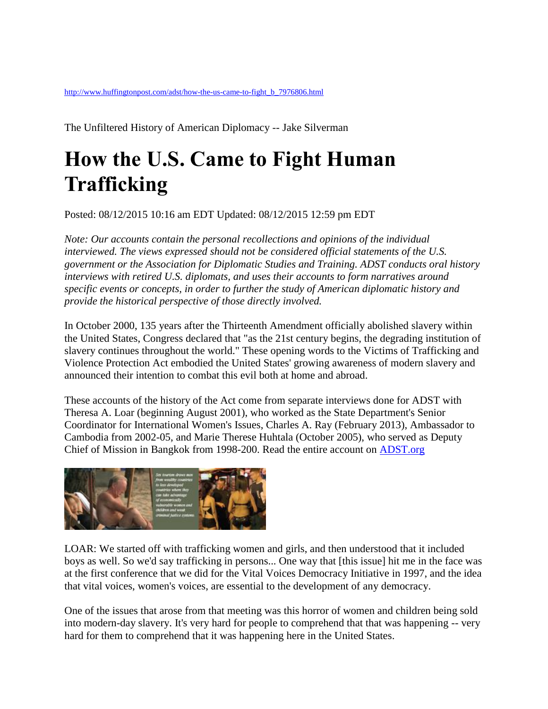The Unfiltered History of American Diplomacy -- Jake Silverman

## **How the U.S. Came to Fight Human Trafficking**

Posted: 08/12/2015 10:16 am EDT Updated: 08/12/2015 12:59 pm EDT

*Note: Our accounts contain the personal recollections and opinions of the individual interviewed. The views expressed should not be considered official statements of the U.S. government or the Association for Diplomatic Studies and Training. ADST conducts oral history interviews with retired U.S. diplomats, and uses their accounts to form narratives around specific events or concepts, in order to further the study of American diplomatic history and provide the historical perspective of those directly involved.*

In October 2000, 135 years after the Thirteenth Amendment officially abolished slavery within the United States, Congress declared that "as the 21st century begins, the degrading institution of slavery continues throughout the world." These opening words to the Victims of Trafficking and Violence Protection Act embodied the United States' growing awareness of modern slavery and announced their intention to combat this evil both at home and abroad.

These accounts of the history of the Act come from separate interviews done for ADST with Theresa A. Loar (beginning August 2001), who worked as the State Department's Senior Coordinator for International Women's Issues, Charles A. Ray (February 2013), Ambassador to Cambodia from 2002-05, and Marie Therese Huhtala (October 2005), who served as Deputy Chief of Mission in Bangkok from 1998-200. Read the entire account on [ADST.org](http://adst.org/2014/08/breaking-chains-fighting-trafficking-in-persons/)



LOAR: We started off with trafficking women and girls, and then understood that it included boys as well. So we'd say trafficking in persons... One way that [this issue] hit me in the face was at the first conference that we did for the Vital Voices Democracy Initiative in 1997, and the idea that vital voices, women's voices, are essential to the development of any democracy.

One of the issues that arose from that meeting was this horror of women and children being sold into modern-day slavery. It's very hard for people to comprehend that that was happening -- very hard for them to comprehend that it was happening here in the United States.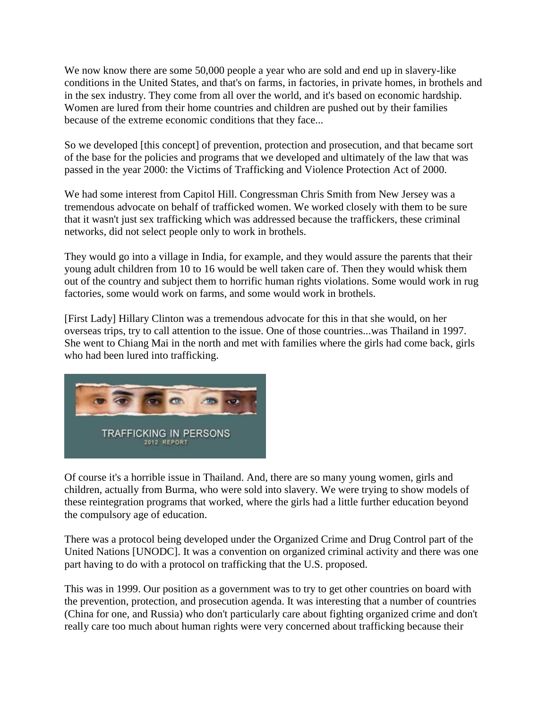We now know there are some 50,000 people a year who are sold and end up in slavery-like conditions in the United States, and that's on farms, in factories, in private homes, in brothels and in the sex industry. They come from all over the world, and it's based on economic hardship. Women are lured from their home countries and children are pushed out by their families because of the extreme economic conditions that they face...

So we developed [this concept] of prevention, protection and prosecution, and that became sort of the base for the policies and programs that we developed and ultimately of the law that was passed in the year 2000: the Victims of Trafficking and Violence Protection Act of 2000.

We had some interest from Capitol Hill. Congressman Chris Smith from New Jersey was a tremendous advocate on behalf of trafficked women. We worked closely with them to be sure that it wasn't just sex trafficking which was addressed because the traffickers, these criminal networks, did not select people only to work in brothels.

They would go into a village in India, for example, and they would assure the parents that their young adult children from 10 to 16 would be well taken care of. Then they would whisk them out of the country and subject them to horrific human rights violations. Some would work in rug factories, some would work on farms, and some would work in brothels.

[First Lady] Hillary Clinton was a tremendous advocate for this in that she would, on her overseas trips, try to call attention to the issue. One of those countries...was Thailand in 1997. She went to Chiang Mai in the north and met with families where the girls had come back, girls who had been lured into trafficking.



Of course it's a horrible issue in Thailand. And, there are so many young women, girls and children, actually from Burma, who were sold into slavery. We were trying to show models of these reintegration programs that worked, where the girls had a little further education beyond the compulsory age of education.

There was a protocol being developed under the Organized Crime and Drug Control part of the United Nations [UNODC]. It was a convention on organized criminal activity and there was one part having to do with a protocol on trafficking that the U.S. proposed.

This was in 1999. Our position as a government was to try to get other countries on board with the prevention, protection, and prosecution agenda. It was interesting that a number of countries (China for one, and Russia) who don't particularly care about fighting organized crime and don't really care too much about human rights were very concerned about trafficking because their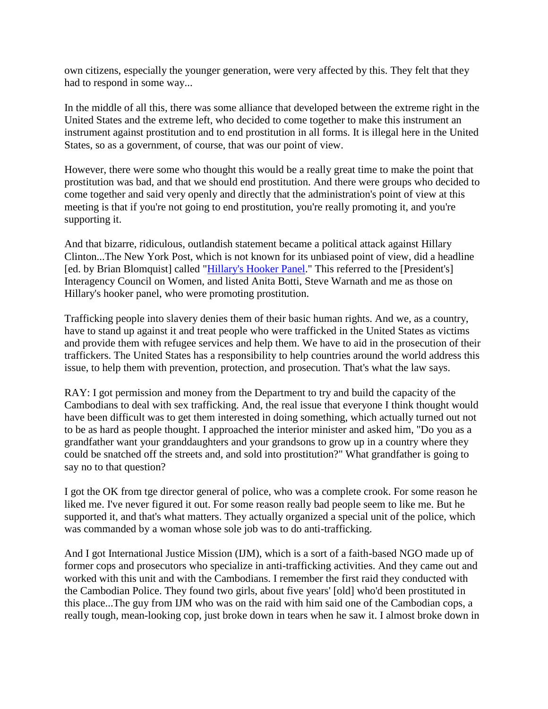own citizens, especially the younger generation, were very affected by this. They felt that they had to respond in some way...

In the middle of all this, there was some alliance that developed between the extreme right in the United States and the extreme left, who decided to come together to make this instrument an instrument against prostitution and to end prostitution in all forms. It is illegal here in the United States, so as a government, of course, that was our point of view.

However, there were some who thought this would be a really great time to make the point that prostitution was bad, and that we should end prostitution. And there were groups who decided to come together and said very openly and directly that the administration's point of view at this meeting is that if you're not going to end prostitution, you're really promoting it, and you're supporting it.

And that bizarre, ridiculous, outlandish statement became a political attack against Hillary Clinton...The New York Post, which is not known for its unbiased point of view, did a headline [ed. by Brian Blomquist] called ["Hillary's Hooker Panel.](http://nypost.com/2000/01/08/hooker-panel-puts-first-lady-on-the-spot/)" This referred to the [President's] Interagency Council on Women, and listed Anita Botti, Steve Warnath and me as those on Hillary's hooker panel, who were promoting prostitution.

Trafficking people into slavery denies them of their basic human rights. And we, as a country, have to stand up against it and treat people who were trafficked in the United States as victims and provide them with refugee services and help them. We have to aid in the prosecution of their traffickers. The United States has a responsibility to help countries around the world address this issue, to help them with prevention, protection, and prosecution. That's what the law says.

RAY: I got permission and money from the Department to try and build the capacity of the Cambodians to deal with sex trafficking. And, the real issue that everyone I think thought would have been difficult was to get them interested in doing something, which actually turned out not to be as hard as people thought. I approached the interior minister and asked him, "Do you as a grandfather want your granddaughters and your grandsons to grow up in a country where they could be snatched off the streets and, and sold into prostitution?" What grandfather is going to say no to that question?

I got the OK from tge director general of police, who was a complete crook. For some reason he liked me. I've never figured it out. For some reason really bad people seem to like me. But he supported it, and that's what matters. They actually organized a special unit of the police, which was commanded by a woman whose sole job was to do anti-trafficking.

And I got International Justice Mission (IJM), which is a sort of a faith-based NGO made up of former cops and prosecutors who specialize in anti-trafficking activities. And they came out and worked with this unit and with the Cambodians. I remember the first raid they conducted with the Cambodian Police. They found two girls, about five years' [old] who'd been prostituted in this place...The guy from IJM who was on the raid with him said one of the Cambodian cops, a really tough, mean-looking cop, just broke down in tears when he saw it. I almost broke down in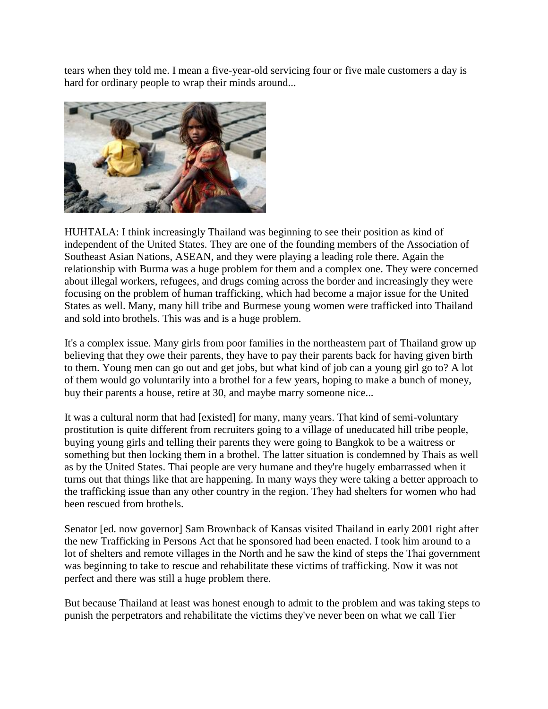tears when they told me. I mean a five-year-old servicing four or five male customers a day is hard for ordinary people to wrap their minds around...



HUHTALA: I think increasingly Thailand was beginning to see their position as kind of independent of the United States. They are one of the founding members of the Association of Southeast Asian Nations, ASEAN, and they were playing a leading role there. Again the relationship with Burma was a huge problem for them and a complex one. They were concerned about illegal workers, refugees, and drugs coming across the border and increasingly they were focusing on the problem of human trafficking, which had become a major issue for the United States as well. Many, many hill tribe and Burmese young women were trafficked into Thailand and sold into brothels. This was and is a huge problem.

It's a complex issue. Many girls from poor families in the northeastern part of Thailand grow up believing that they owe their parents, they have to pay their parents back for having given birth to them. Young men can go out and get jobs, but what kind of job can a young girl go to? A lot of them would go voluntarily into a brothel for a few years, hoping to make a bunch of money, buy their parents a house, retire at 30, and maybe marry someone nice...

It was a cultural norm that had [existed] for many, many years. That kind of semi-voluntary prostitution is quite different from recruiters going to a village of uneducated hill tribe people, buying young girls and telling their parents they were going to Bangkok to be a waitress or something but then locking them in a brothel. The latter situation is condemned by Thais as well as by the United States. Thai people are very humane and they're hugely embarrassed when it turns out that things like that are happening. In many ways they were taking a better approach to the trafficking issue than any other country in the region. They had shelters for women who had been rescued from brothels.

Senator [ed. now governor] Sam Brownback of Kansas visited Thailand in early 2001 right after the new Trafficking in Persons Act that he sponsored had been enacted. I took him around to a lot of shelters and remote villages in the North and he saw the kind of steps the Thai government was beginning to take to rescue and rehabilitate these victims of trafficking. Now it was not perfect and there was still a huge problem there.

But because Thailand at least was honest enough to admit to the problem and was taking steps to punish the perpetrators and rehabilitate the victims they've never been on what we call Tier